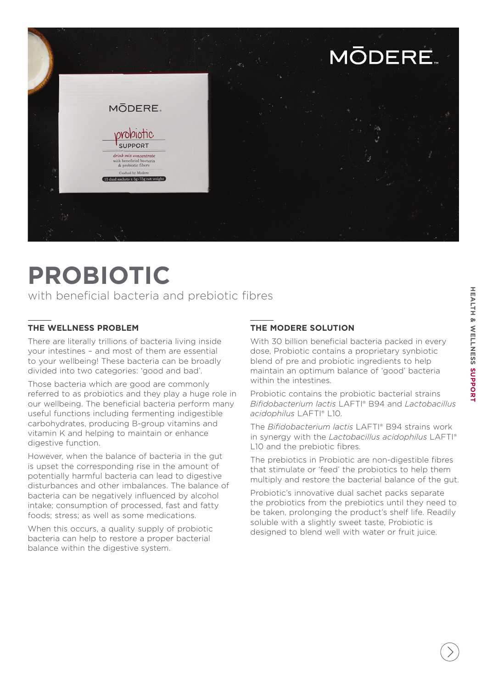

# **PROBIOTIC**

with beneficial bacteria and prebiotic fibres

## **THE WELLNESS PROBLEM**

There are literally trillions of bacteria living inside your intestines – and most of them are essential to your wellbeing! These bacteria can be broadly divided into two categories: 'good and bad'.

Those bacteria which are good are commonly referred to as probiotics and they play a huge role in our wellbeing. The beneficial bacteria perform many useful functions including fermenting indigestible carbohydrates, producing B-group vitamins and vitamin K and helping to maintain or enhance digestive function.

However, when the balance of bacteria in the gut is upset the corresponding rise in the amount of potentially harmful bacteria can lead to digestive disturbances and other imbalances. The balance of bacteria can be negatively influenced by alcohol intake; consumption of processed, fast and fatty foods; stress; as well as some medications.

When this occurs, a quality supply of probiotic bacteria can help to restore a proper bacterial balance within the digestive system.

# **THE MODERE SOLUTION**

With 30 billion beneficial bacteria packed in every dose, Probiotic contains a proprietary synbiotic blend of pre and probiotic ingredients to help maintain an optimum balance of 'good' bacteria within the intestines.

Probiotic contains the probiotic bacterial strains *Bifidobacterium lactis* LAFTI® B94 and *Lactobacillus acidophilus* LAFTI® L10.

The *Bifidobacterium lactis* LAFTI® B94 strains work in synergy with the *Lactobacillus acidophilus* LAFTI® L10 and the prebiotic fibres.

The prebiotics in Probiotic are non-digestible fibres that stimulate or 'feed' the probiotics to help them multiply and restore the bacterial balance of the gut.

Probiotic's innovative dual sachet packs separate the probiotics from the prebiotics until they need to be taken, prolonging the product's shelf life. Readily soluble with a slightly sweet taste, Probiotic is designed to blend well with water or fruit juice.